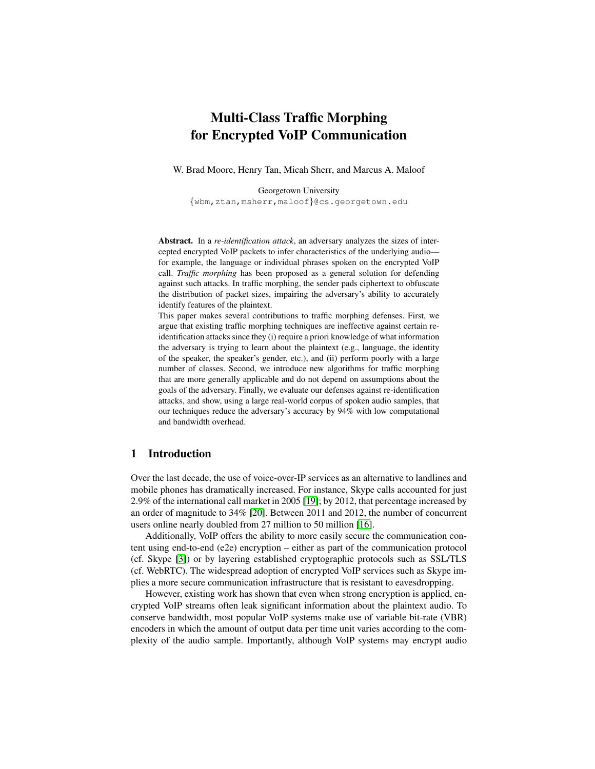# Multi-Class Traffic Morphing for Encrypted VoIP Communication

W. Brad Moore, Henry Tan, Micah Sherr, and Marcus A. Maloof

Georgetown University {wbm,ztan,msherr,maloof}@cs.georgetown.edu

Abstract. In a *re-identification attack*, an adversary analyzes the sizes of intercepted encrypted VoIP packets to infer characteristics of the underlying audio for example, the language or individual phrases spoken on the encrypted VoIP call. *Traffic morphing* has been proposed as a general solution for defending against such attacks. In traffic morphing, the sender pads ciphertext to obfuscate the distribution of packet sizes, impairing the adversary's ability to accurately identify features of the plaintext.

This paper makes several contributions to traffic morphing defenses. First, we argue that existing traffic morphing techniques are ineffective against certain reidentification attacks since they (i) require a priori knowledge of what information the adversary is trying to learn about the plaintext (e.g., language, the identity of the speaker, the speaker's gender, etc.), and (ii) perform poorly with a large number of classes. Second, we introduce new algorithms for traffic morphing that are more generally applicable and do not depend on assumptions about the goals of the adversary. Finally, we evaluate our defenses against re-identification attacks, and show, using a large real-world corpus of spoken audio samples, that our techniques reduce the adversary's accuracy by 94% with low computational and bandwidth overhead.

## 1 Introduction

Over the last decade, the use of voice-over-IP services as an alternative to landlines and mobile phones has dramatically increased. For instance, Skype calls accounted for just 2.9% of the international call market in 2005 [\[19\]](#page-16-0); by 2012, that percentage increased by an order of magnitude to 34% [\[20\]](#page-16-1). Between 2011 and 2012, the number of concurrent users online nearly doubled from 27 million to 50 million [\[16\]](#page-15-0).

Additionally, VoIP offers the ability to more easily secure the communication content using end-to-end (e2e) encryption – either as part of the communication protocol (cf. Skype [\[3\]](#page-15-1)) or by layering established cryptographic protocols such as SSL/TLS (cf. WebRTC). The widespread adoption of encrypted VoIP services such as Skype implies a more secure communication infrastructure that is resistant to eavesdropping.

However, existing work has shown that even when strong encryption is applied, encrypted VoIP streams often leak significant information about the plaintext audio. To conserve bandwidth, most popular VoIP systems make use of variable bit-rate (VBR) encoders in which the amount of output data per time unit varies according to the complexity of the audio sample. Importantly, although VoIP systems may encrypt audio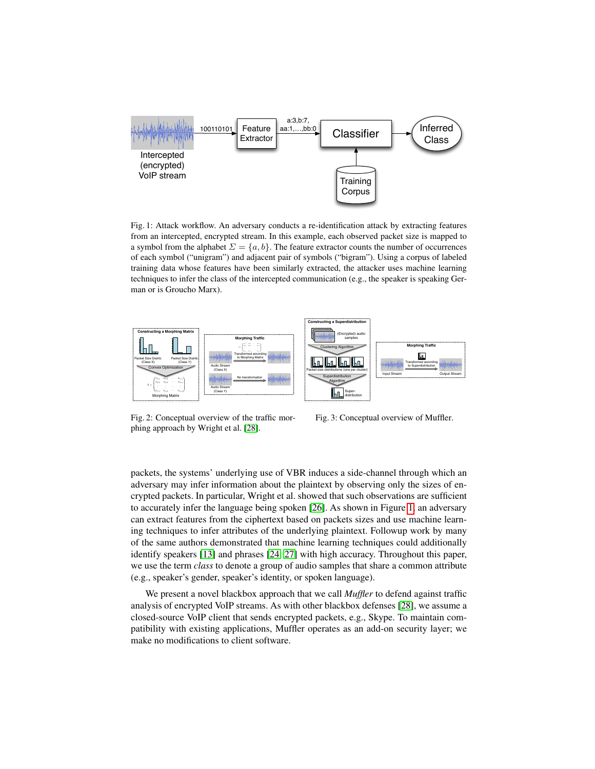<span id="page-1-0"></span>

Fig. 1: Attack workflow. An adversary conducts a re-identification attack by extracting features from an intercepted, encrypted stream. In this example, each observed packet size is mapped to a symbol from the alphabet  $\Sigma = \{a, b\}$ . The feature extractor counts the number of occurrences of each symbol ("unigram") and adjacent pair of symbols ("bigram"). Using a corpus of labeled training data whose features have been similarly extracted, the attacker uses machine learning techniques to infer the class of the intercepted communication (e.g., the speaker is speaking German or is Groucho Marx).

<span id="page-1-1"></span>

Fig. 2: Conceptual overview of the traffic morphing approach by Wright et al. [\[28\]](#page-16-2).

Fig. 3: Conceptual overview of Muffler.

packets, the systems' underlying use of VBR induces a side-channel through which an adversary may infer information about the plaintext by observing only the sizes of encrypted packets. In particular, Wright et al. showed that such observations are sufficient to accurately infer the language being spoken [\[26\]](#page-16-3). As shown in Figure [1,](#page-1-0) an adversary can extract features from the ciphertext based on packets sizes and use machine learning techniques to infer attributes of the underlying plaintext. Followup work by many of the same authors demonstrated that machine learning techniques could additionally identify speakers [\[13\]](#page-15-2) and phrases [\[24,](#page-16-4) [27\]](#page-16-5) with high accuracy. Throughout this paper, we use the term *class* to denote a group of audio samples that share a common attribute (e.g., speaker's gender, speaker's identity, or spoken language).

We present a novel blackbox approach that we call *Muffler* to defend against traffic analysis of encrypted VoIP streams. As with other blackbox defenses [\[28\]](#page-16-2), we assume a closed-source VoIP client that sends encrypted packets, e.g., Skype. To maintain compatibility with existing applications, Muffler operates as an add-on security layer; we make no modifications to client software.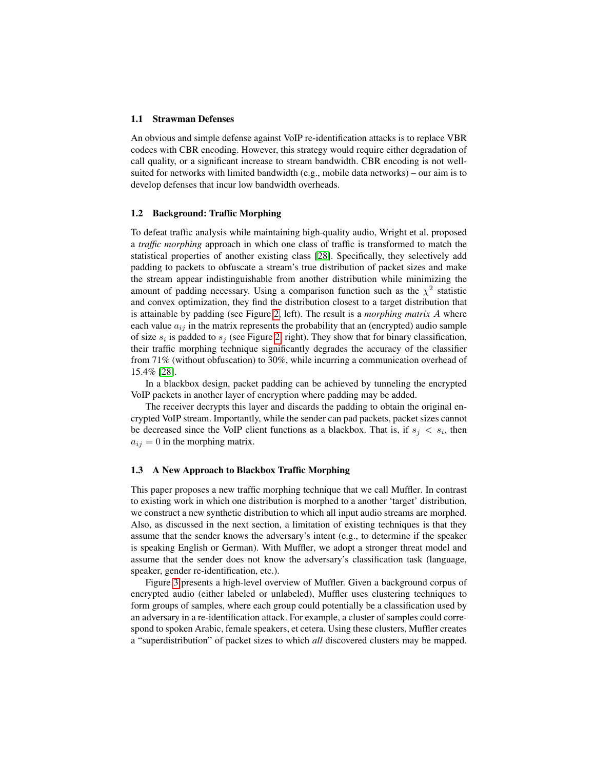#### 1.1 Strawman Defenses

An obvious and simple defense against VoIP re-identification attacks is to replace VBR codecs with CBR encoding. However, this strategy would require either degradation of call quality, or a significant increase to stream bandwidth. CBR encoding is not wellsuited for networks with limited bandwidth (e.g., mobile data networks) – our aim is to develop defenses that incur low bandwidth overheads.

#### 1.2 Background: Traffic Morphing

To defeat traffic analysis while maintaining high-quality audio, Wright et al. proposed a *traffic morphing* approach in which one class of traffic is transformed to match the statistical properties of another existing class [\[28\]](#page-16-2). Specifically, they selectively add padding to packets to obfuscate a stream's true distribution of packet sizes and make the stream appear indistinguishable from another distribution while minimizing the amount of padding necessary. Using a comparison function such as the  $\chi^2$  statistic and convex optimization, they find the distribution closest to a target distribution that is attainable by padding (see Figure [2,](#page-1-1) left). The result is a *morphing matrix* A where each value  $a_{ij}$  in the matrix represents the probability that an (encrypted) audio sample of size  $s_i$  is padded to  $s_j$  (see Figure [2,](#page-1-1) right). They show that for binary classification, their traffic morphing technique significantly degrades the accuracy of the classifier from 71% (without obfuscation) to 30%, while incurring a communication overhead of 15.4% [\[28\]](#page-16-2).

In a blackbox design, packet padding can be achieved by tunneling the encrypted VoIP packets in another layer of encryption where padding may be added.

The receiver decrypts this layer and discards the padding to obtain the original encrypted VoIP stream. Importantly, while the sender can pad packets, packet sizes cannot be decreased since the VoIP client functions as a blackbox. That is, if  $s_j < s_i$ , then  $a_{ij} = 0$  in the morphing matrix.

#### 1.3 A New Approach to Blackbox Traffic Morphing

This paper proposes a new traffic morphing technique that we call Muffler. In contrast to existing work in which one distribution is morphed to a another 'target' distribution, we construct a new synthetic distribution to which all input audio streams are morphed. Also, as discussed in the next section, a limitation of existing techniques is that they assume that the sender knows the adversary's intent (e.g., to determine if the speaker is speaking English or German). With Muffler, we adopt a stronger threat model and assume that the sender does not know the adversary's classification task (language, speaker, gender re-identification, etc.).

Figure [3](#page-1-1) presents a high-level overview of Muffler. Given a background corpus of encrypted audio (either labeled or unlabeled), Muffler uses clustering techniques to form groups of samples, where each group could potentially be a classification used by an adversary in a re-identification attack. For example, a cluster of samples could correspond to spoken Arabic, female speakers, et cetera. Using these clusters, Muffler creates a "superdistribution" of packet sizes to which *all* discovered clusters may be mapped.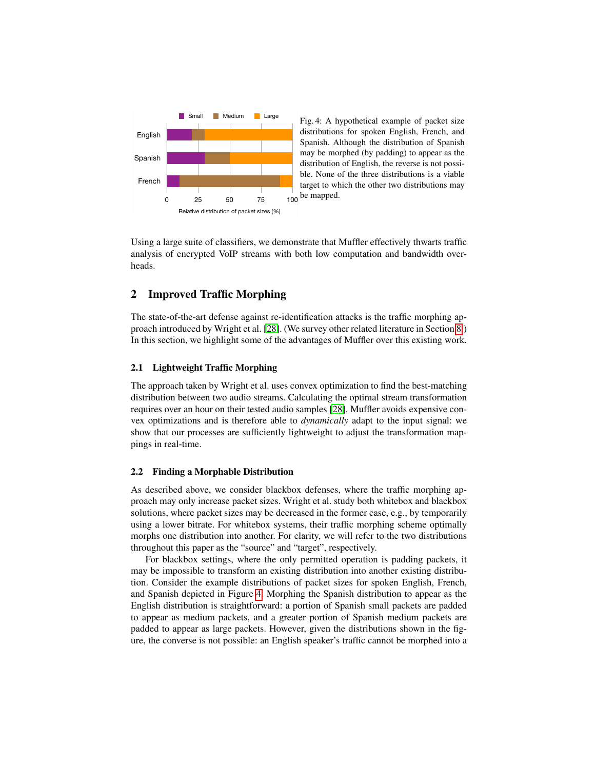<span id="page-3-0"></span>

Fig. 4: A hypothetical example of packet size distributions for spoken English, French, and Spanish. Although the distribution of Spanish may be morphed (by padding) to appear as the distribution of English, the reverse is not possible. None of the three distributions is a viable target to which the other two distributions may 100 be mapped.

Using a large suite of classifiers, we demonstrate that Muffler effectively thwarts traffic analysis of encrypted VoIP streams with both low computation and bandwidth overheads.

## 2 Improved Traffic Morphing

The state-of-the-art defense against re-identification attacks is the traffic morphing approach introduced by Wright et al. [\[28\]](#page-16-2). (We survey other related literature in Section [8.](#page-13-0)) In this section, we highlight some of the advantages of Muffler over this existing work.

## 2.1 Lightweight Traffic Morphing

The approach taken by Wright et al. uses convex optimization to find the best-matching distribution between two audio streams. Calculating the optimal stream transformation requires over an hour on their tested audio samples [\[28\]](#page-16-2). Muffler avoids expensive convex optimizations and is therefore able to *dynamically* adapt to the input signal: we show that our processes are sufficiently lightweight to adjust the transformation mappings in real-time.

### 2.2 Finding a Morphable Distribution

As described above, we consider blackbox defenses, where the traffic morphing approach may only increase packet sizes. Wright et al. study both whitebox and blackbox solutions, where packet sizes may be decreased in the former case, e.g., by temporarily using a lower bitrate. For whitebox systems, their traffic morphing scheme optimally morphs one distribution into another. For clarity, we will refer to the two distributions throughout this paper as the "source" and "target", respectively.

For blackbox settings, where the only permitted operation is padding packets, it may be impossible to transform an existing distribution into another existing distribution. Consider the example distributions of packet sizes for spoken English, French, and Spanish depicted in Figure [4.](#page-3-0) Morphing the Spanish distribution to appear as the English distribution is straightforward: a portion of Spanish small packets are padded to appear as medium packets, and a greater portion of Spanish medium packets are padded to appear as large packets. However, given the distributions shown in the figure, the converse is not possible: an English speaker's traffic cannot be morphed into a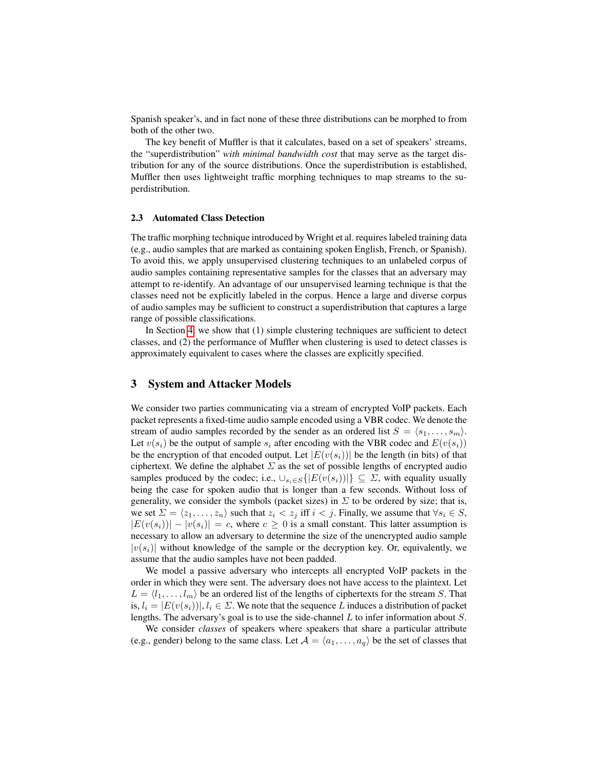Spanish speaker's, and in fact none of these three distributions can be morphed to from both of the other two.

The key benefit of Muffler is that it calculates, based on a set of speakers' streams, the "superdistribution" *with minimal bandwidth cost* that may serve as the target distribution for any of the source distributions. Once the superdistribution is established, Muffler then uses lightweight traffic morphing techniques to map streams to the superdistribution.

### 2.3 Automated Class Detection

The traffic morphing technique introduced by Wright et al. requires labeled training data (e.g., audio samples that are marked as containing spoken English, French, or Spanish). To avoid this, we apply unsupervised clustering techniques to an unlabeled corpus of audio samples containing representative samples for the classes that an adversary may attempt to re-identify. An advantage of our unsupervised learning technique is that the classes need not be explicitly labeled in the corpus. Hence a large and diverse corpus of audio samples may be sufficient to construct a superdistribution that captures a large range of possible classifications.

In Section [4,](#page-6-0) we show that (1) simple clustering techniques are sufficient to detect classes, and (2) the performance of Muffler when clustering is used to detect classes is approximately equivalent to cases where the classes are explicitly specified.

## 3 System and Attacker Models

We consider two parties communicating via a stream of encrypted VoIP packets. Each packet represents a fixed-time audio sample encoded using a VBR codec. We denote the stream of audio samples recorded by the sender as an ordered list  $S = \langle s_1, \ldots, s_m \rangle$ . Let  $v(s_i)$  be the output of sample  $s_i$  after encoding with the VBR codec and  $E(v(s_i))$ be the encryption of that encoded output. Let  $|E(v(s<sub>i</sub>))|$  be the length (in bits) of that ciphertext. We define the alphabet  $\Sigma$  as the set of possible lengths of encrypted audio samples produced by the codec; i.e.,  $\bigcup_{s_i \in S} \{ |E(v(s_i))| \} \subseteq \Sigma$ , with equality usually being the case for spoken audio that is longer than a few seconds. Without loss of generality, we consider the symbols (packet sizes) in  $\Sigma$  to be ordered by size; that is, we set  $\Sigma = \langle z_1, \ldots, z_n \rangle$  such that  $z_i < z_j$  iff  $i < j$ . Finally, we assume that  $\forall s_i \in S$ ,  $|E(v(s_i))| - |v(s_i)| = c$ , where  $c \ge 0$  is a small constant. This latter assumption is necessary to allow an adversary to determine the size of the unencrypted audio sample  $|v(s_i)|$  without knowledge of the sample or the decryption key. Or, equivalently, we assume that the audio samples have not been padded.

We model a passive adversary who intercepts all encrypted VoIP packets in the order in which they were sent. The adversary does not have access to the plaintext. Let  $L = \langle l_1, \ldots, l_m \rangle$  be an ordered list of the lengths of ciphertexts for the stream S. That is,  $l_i = |E(v(s_i))|, l_i \in \Sigma$ . We note that the sequence L induces a distribution of packet lengths. The adversary's goal is to use the side-channel L to infer information about S.

We consider *classes* of speakers where speakers that share a particular attribute (e.g., gender) belong to the same class. Let  $A = \langle a_1, \ldots, a_q \rangle$  be the set of classes that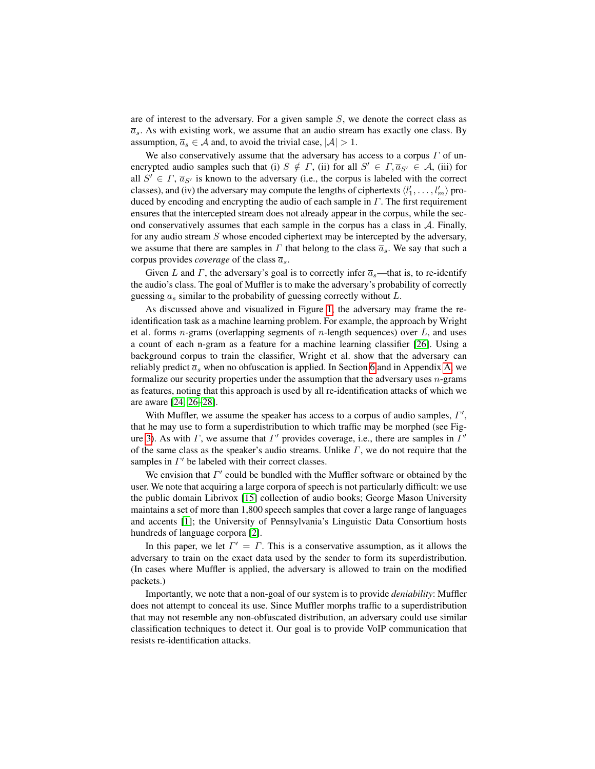are of interest to the adversary. For a given sample S, we denote the correct class as  $\overline{a}_s$ . As with existing work, we assume that an audio stream has exactly one class. By assumption,  $\overline{a}_s \in A$  and, to avoid the trivial case,  $|A| > 1$ .

We also conservatively assume that the adversary has access to a corpus  $\Gamma$  of unencrypted audio samples such that (i)  $S \notin \Gamma$ , (ii) for all  $S' \in \Gamma$ ,  $\overline{a}_{S'} \in \mathcal{A}$ , (iii) for all  $S' \in \Gamma$ ,  $\overline{a}_{S'}$  is known to the adversary (i.e., the corpus is labeled with the correct classes), and (iv) the adversary may compute the lengths of ciphertexts  $\langle l'_1, \ldots, l'_m \rangle$  produced by encoding and encrypting the audio of each sample in  $\Gamma$ . The first requirement ensures that the intercepted stream does not already appear in the corpus, while the second conservatively assumes that each sample in the corpus has a class in  $A$ . Finally, for any audio stream S whose encoded ciphertext may be intercepted by the adversary, we assume that there are samples in  $\Gamma$  that belong to the class  $\bar{a}_s$ . We say that such a corpus provides *coverage* of the class  $\overline{a}_s$ .

Given L and  $\Gamma$ , the adversary's goal is to correctly infer  $\overline{a}_s$ —that is, to re-identify the audio's class. The goal of Muffler is to make the adversary's probability of correctly guessing  $\overline{a}_s$  similar to the probability of guessing correctly without L.

As discussed above and visualized in Figure [1,](#page-1-0) the adversary may frame the reidentification task as a machine learning problem. For example, the approach by Wright et al. forms *n*-grams (overlapping segments of *n*-length sequences) over  $L$ , and uses a count of each n-gram as a feature for a machine learning classifier [\[26\]](#page-16-3). Using a background corpus to train the classifier, Wright et al. show that the adversary can reliably predict  $\overline{a}_s$  when no obfuscation is applied. In Section [6](#page-9-0) and in Appendix [A,](#page-17-0) we formalize our security properties under the assumption that the adversary uses  $n$ -grams as features, noting that this approach is used by all re-identification attacks of which we are aware [\[24,](#page-16-4) [26–](#page-16-3)[28\]](#page-16-2).

With Muffler, we assume the speaker has access to a corpus of audio samples,  $\Gamma'$ , that he may use to form a superdistribution to which traffic may be morphed (see Fig-ure [3\)](#page-1-1). As with  $\Gamma$ , we assume that  $\Gamma'$  provides coverage, i.e., there are samples in  $\Gamma'$ of the same class as the speaker's audio streams. Unlike  $\Gamma$ , we do not require that the samples in  $\Gamma'$  be labeled with their correct classes.

We envision that  $\Gamma'$  could be bundled with the Muffler software or obtained by the user. We note that acquiring a large corpora of speech is not particularly difficult: we use the public domain Librivox [\[15\]](#page-15-3) collection of audio books; George Mason University maintains a set of more than 1,800 speech samples that cover a large range of languages and accents [\[1\]](#page-15-4); the University of Pennsylvania's Linguistic Data Consortium hosts hundreds of language corpora [\[2\]](#page-15-5).

In this paper, we let  $\Gamma' = \Gamma$ . This is a conservative assumption, as it allows the adversary to train on the exact data used by the sender to form its superdistribution. (In cases where Muffler is applied, the adversary is allowed to train on the modified packets.)

Importantly, we note that a non-goal of our system is to provide *deniability*: Muffler does not attempt to conceal its use. Since Muffler morphs traffic to a superdistribution that may not resemble any non-obfuscated distribution, an adversary could use similar classification techniques to detect it. Our goal is to provide VoIP communication that resists re-identification attacks.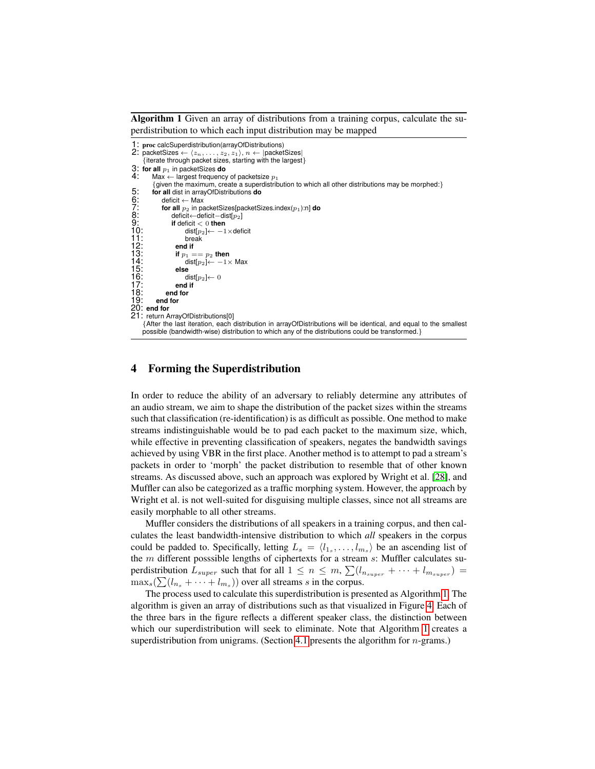Algorithm 1 Given an array of distributions from a training corpus, calculate the superdistribution to which each input distribution may be mapped

```
1: proc calcSuperdistribution(arrayOfDistributions)
2: packetSizes \leftarrow \langle z_n, \ldots, z_2, z_1 \rangle, n \leftarrow |{\text{packetSizes}}{iterate through packet sizes, starting with the largest}
3: for all p_1 in packetSizes do<br>4: Max \leftarrow largest frequency
          Max \leftarrow largest frequency of packetsize p_1{given the maximum, create a superdistribution to which all other distributions may be morphed:}
5: for all dist in arrayOfDistributions do
               deficit ← Max
               for all p_2 in packetSizes[packetSizes.index(p_1):n] do
                    deficit←deficit-dist[p<sub>2</sub>]
                    9: if deficit < 0 then
                           dist[p_2] \leftarrow -1 \timesdeficit
                           break
                      end if
                      if p_1 == p_2 then
                           dist[p_2] \leftarrow -1 \times Max
6: deficit \leftarrow<br>
7: for all p_2<br>
8: deficit:<br>
11: if deficit<br>
11: by<br>
11: end i<br>
11: if p_1<br>
11: if p_1<br>
14: di<br>
15: else<br>
11: di<br>
15: di<br>
11: di<br>
11: di<br>
11: di<br>
11: di<br>
11: di<br>
11: di<br>
11: di<br>
11: di<br>
11: di<br>
1
                           dist[p_2] \leftarrow 017: end if
            end for<br>end for
19: end for
20: end for
21: return ArrayOfDistributions[0]
      {After the last iteration, each distribution in arrayOfDistributions will be identical, and equal to the smallest
     possible (bandwidth-wise) distribution to which any of the distributions could be transformed.}
```
## <span id="page-6-1"></span><span id="page-6-0"></span>4 Forming the Superdistribution

In order to reduce the ability of an adversary to reliably determine any attributes of an audio stream, we aim to shape the distribution of the packet sizes within the streams such that classification (re-identification) is as difficult as possible. One method to make streams indistinguishable would be to pad each packet to the maximum size, which, while effective in preventing classification of speakers, negates the bandwidth savings achieved by using VBR in the first place. Another method is to attempt to pad a stream's packets in order to 'morph' the packet distribution to resemble that of other known streams. As discussed above, such an approach was explored by Wright et al. [\[28\]](#page-16-2), and Muffler can also be categorized as a traffic morphing system. However, the approach by Wright et al. is not well-suited for disguising multiple classes, since not all streams are easily morphable to all other streams.

Muffler considers the distributions of all speakers in a training corpus, and then calculates the least bandwidth-intensive distribution to which *all* speakers in the corpus could be padded to. Specifically, letting  $L_s = \langle l_{1_s}, \ldots, l_{m_s} \rangle$  be an ascending list of the  $m$  different posssible lengths of ciphertexts for a stream  $s$ : Muffler calculates superdistribution  $L_{super}$  such that for all  $1 \leq n \leq m$ ,  $\sum (l_{n_{super}} + \cdots + l_{m_{super}})$  $\max_s(\sum (l_{n_s} + \cdots + l_{m_s}))$  over all streams s in the corpus.

The process used to calculate this superdistribution is presented as Algorithm [1.](#page-6-1) The algorithm is given an array of distributions such as that visualized in Figure [4.](#page-3-0) Each of the three bars in the figure reflects a different speaker class, the distinction between which our superdistribution will seek to eliminate. Note that Algorithm [1](#page-6-1) creates a superdistribution from unigrams. (Section [4.1](#page-7-0) presents the algorithm for  $n$ -grams.)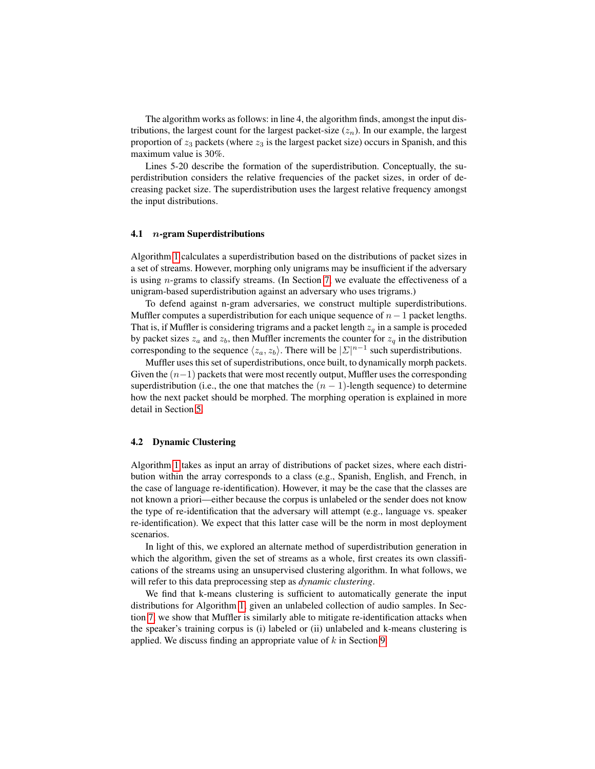The algorithm works as follows: in line 4, the algorithm finds, amongst the input distributions, the largest count for the largest packet-size  $(z_n)$ . In our example, the largest proportion of  $z_3$  packets (where  $z_3$  is the largest packet size) occurs in Spanish, and this maximum value is 30%.

Lines 5-20 describe the formation of the superdistribution. Conceptually, the superdistribution considers the relative frequencies of the packet sizes, in order of decreasing packet size. The superdistribution uses the largest relative frequency amongst the input distributions.

#### <span id="page-7-0"></span>4.1 n-gram Superdistributions

Algorithm [1](#page-6-1) calculates a superdistribution based on the distributions of packet sizes in a set of streams. However, morphing only unigrams may be insufficient if the adversary is using  $n$ -grams to classify streams. (In Section [7,](#page-9-1) we evaluate the effectiveness of a unigram-based superdistribution against an adversary who uses trigrams.)

To defend against n-gram adversaries, we construct multiple superdistributions. Muffler computes a superdistribution for each unique sequence of  $n-1$  packet lengths. That is, if Muffler is considering trigrams and a packet length  $z_q$  in a sample is proceded by packet sizes  $z_a$  and  $z_b$ , then Muffler increments the counter for  $z_q$  in the distribution corresponding to the sequence  $\langle z_a, z_b \rangle$ . There will be  $|\Sigma|^{n-1}$  such superdistributions.

Muffler uses this set of superdistributions, once built, to dynamically morph packets. Given the  $(n-1)$  packets that were most recently output, Muffler uses the corresponding superdistribution (i.e., the one that matches the  $(n - 1)$ -length sequence) to determine how the next packet should be morphed. The morphing operation is explained in more detail in Section [5.](#page-8-0)

#### 4.2 Dynamic Clustering

Algorithm [1](#page-6-1) takes as input an array of distributions of packet sizes, where each distribution within the array corresponds to a class (e.g., Spanish, English, and French, in the case of language re-identification). However, it may be the case that the classes are not known a priori—either because the corpus is unlabeled or the sender does not know the type of re-identification that the adversary will attempt (e.g., language vs. speaker re-identification). We expect that this latter case will be the norm in most deployment scenarios.

In light of this, we explored an alternate method of superdistribution generation in which the algorithm, given the set of streams as a whole, first creates its own classifications of the streams using an unsupervised clustering algorithm. In what follows, we will refer to this data preprocessing step as *dynamic clustering*.

We find that k-means clustering is sufficient to automatically generate the input distributions for Algorithm [1,](#page-6-1) given an unlabeled collection of audio samples. In Section [7,](#page-9-1) we show that Muffler is similarly able to mitigate re-identification attacks when the speaker's training corpus is (i) labeled or (ii) unlabeled and k-means clustering is applied. We discuss finding an appropriate value of  $k$  in Section [9.](#page-14-0)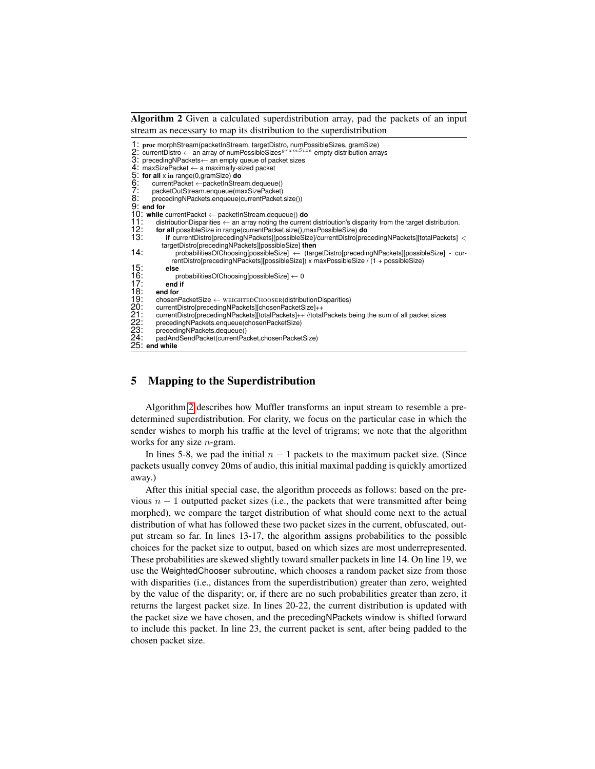Algorithm 2 Given a calculated superdistribution array, pad the packets of an input stream as necessary to map its distribution to the superdistribution

```
1: proc morphStream(packetInStream, targetDistro, numPossibleSizes, gramSize)<br>2: currentDistro \leftarrow an array of numPossibleSizes^{gramSize} empty distribution arrays
2: currentDistro \leftarrow an array of numPossibleSizes<sup>gr</sup>
3: precedingNPackets← an empty queue of packet sizes
4: maxSizePacket ← a maximally-sized packet
5: for all x in range(0,gramSize) do
6: currentPacket ←packetInStream.dequeue()
7: packetOutStream.enqueue(maxSizePacket)<br>8: precedingNPackets.enqueue(currentPacket)
        8: precedingNPackets.enqueue(currentPacket.size())
9: end for
10: while currentPacket ← packetInStream.dequeue() do<br>11: distributionDisparities ← an array noting the curren<br>12: for all possibleSize in range(currentPacket.size().m
          distributionDisparities \leftarrow an array noting the current distribution's disparity from the target distribution.
12: for all possibleSize in range(currentPacket.size(),maxPossibleSize) do
              13: if currentDistro[precedingNPackets][possibleSize]/currentDistro[precedingNPackets][totalPackets] <
             targetDistro[precedingNPackets][possibleSize] then
14: probabilitiesOfChoosing[possibleSize] ← (targetDistro[precedingNPackets][possibleSize] - cur-
                 rentDistro[precedingNPackets][possibleSize]) x maxPossibleSize / (1 + possibleSize)
15: else<br>16: p<br>17: end<br>18: end for
                  probabilitiesOfChoosing[possibleSize] \leftarrow 0end if
18: end for<br>19: chosenl<br>20: current[21: current]<br>22: precedii<br>23: precedii
          19: chosenPacketSize ← WEIGHTEDCHOOSER(distributionDisparities)
          currentDistro[precedingNPackets][chosenPacketSize]++
          currentDistro[precedingNPackets][totalPackets]++ //totalPackets being the sum of all packet sizes
          22: precedingNPackets.enqueue(chosenPacketSize)
23: precedingNPackets.dequeue()<br>24: padAndSendPacket(currentPa
          24: padAndSendPacket(currentPacket,chosenPacketSize)
25: end while
```
## <span id="page-8-1"></span><span id="page-8-0"></span>5 Mapping to the Superdistribution

Algorithm [2](#page-8-1) describes how Muffler transforms an input stream to resemble a predetermined superdistribution. For clarity, we focus on the particular case in which the sender wishes to morph his traffic at the level of trigrams; we note that the algorithm works for any size  $n$ -gram.

In lines 5-8, we pad the initial  $n - 1$  packets to the maximum packet size. (Since packets usually convey 20ms of audio, this initial maximal padding is quickly amortized away.)

After this initial special case, the algorithm proceeds as follows: based on the previous  $n - 1$  outputted packet sizes (i.e., the packets that were transmitted after being morphed), we compare the target distribution of what should come next to the actual distribution of what has followed these two packet sizes in the current, obfuscated, output stream so far. In lines 13-17, the algorithm assigns probabilities to the possible choices for the packet size to output, based on which sizes are most underrepresented. These probabilities are skewed slightly toward smaller packets in line 14. On line 19, we use the WeightedChooser subroutine, which chooses a random packet size from those with disparities (i.e., distances from the superdistribution) greater than zero, weighted by the value of the disparity; or, if there are no such probabilities greater than zero, it returns the largest packet size. In lines 20-22, the current distribution is updated with the packet size we have chosen, and the precedingNPackets window is shifted forward to include this packet. In line 23, the current packet is sent, after being padded to the chosen packet size.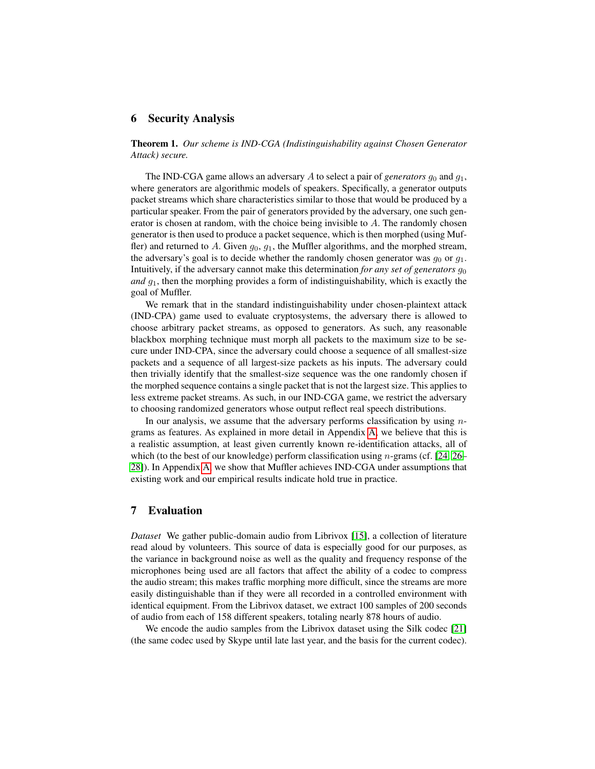### <span id="page-9-0"></span>6 Security Analysis

Theorem 1. *Our scheme is IND-CGA (Indistinguishability against Chosen Generator Attack) secure.*

The IND-CGA game allows an adversary  $A$  to select a pair of *generators*  $g_0$  and  $g_1$ , where generators are algorithmic models of speakers. Specifically, a generator outputs packet streams which share characteristics similar to those that would be produced by a particular speaker. From the pair of generators provided by the adversary, one such generator is chosen at random, with the choice being invisible to A. The randomly chosen generator is then used to produce a packet sequence, which is then morphed (using Muffler) and returned to A. Given  $g_0$ ,  $g_1$ , the Muffler algorithms, and the morphed stream, the adversary's goal is to decide whether the randomly chosen generator was  $g_0$  or  $g_1$ . Intuitively, if the adversary cannot make this determination *for any set of generators*  $q_0$ *and*  $g_1$ , then the morphing provides a form of indistinguishability, which is exactly the goal of Muffler.

We remark that in the standard indistinguishability under chosen-plaintext attack (IND-CPA) game used to evaluate cryptosystems, the adversary there is allowed to choose arbitrary packet streams, as opposed to generators. As such, any reasonable blackbox morphing technique must morph all packets to the maximum size to be secure under IND-CPA, since the adversary could choose a sequence of all smallest-size packets and a sequence of all largest-size packets as his inputs. The adversary could then trivially identify that the smallest-size sequence was the one randomly chosen if the morphed sequence contains a single packet that is not the largest size. This applies to less extreme packet streams. As such, in our IND-CGA game, we restrict the adversary to choosing randomized generators whose output reflect real speech distributions.

In our analysis, we assume that the adversary performs classification by using  $n$ grams as features. As explained in more detail in Appendix [A,](#page-17-0) we believe that this is a realistic assumption, at least given currently known re-identification attacks, all of which (to the best of our knowledge) perform classification using *n*-grams (cf. [\[24,](#page-16-4) [26–](#page-16-3) [28\]](#page-16-2)). In Appendix [A,](#page-17-0) we show that Muffler achieves IND-CGA under assumptions that existing work and our empirical results indicate hold true in practice.

## <span id="page-9-1"></span>7 Evaluation

*Dataset* We gather public-domain audio from Librivox [\[15\]](#page-15-3), a collection of literature read aloud by volunteers. This source of data is especially good for our purposes, as the variance in background noise as well as the quality and frequency response of the microphones being used are all factors that affect the ability of a codec to compress the audio stream; this makes traffic morphing more difficult, since the streams are more easily distinguishable than if they were all recorded in a controlled environment with identical equipment. From the Librivox dataset, we extract 100 samples of 200 seconds of audio from each of 158 different speakers, totaling nearly 878 hours of audio.

We encode the audio samples from the Librivox dataset using the Silk codec [\[21\]](#page-16-6) (the same codec used by Skype until late last year, and the basis for the current codec).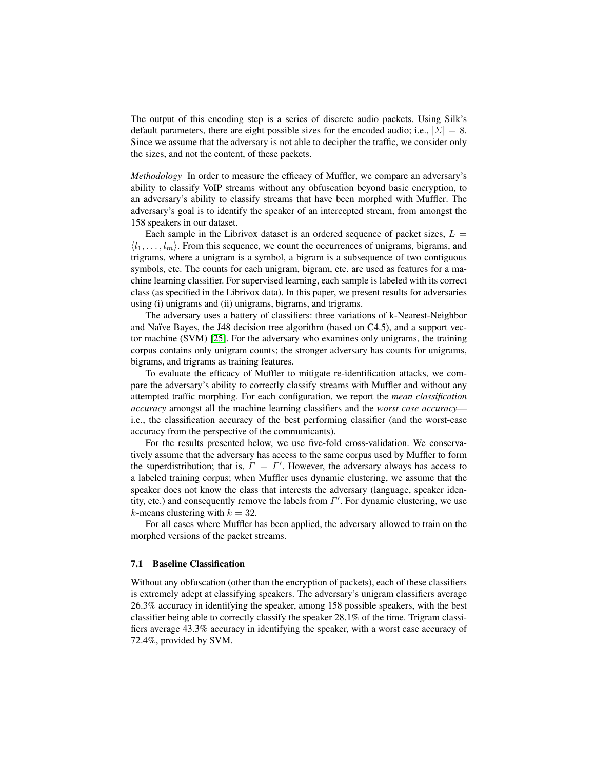The output of this encoding step is a series of discrete audio packets. Using Silk's default parameters, there are eight possible sizes for the encoded audio; i.e.,  $|\Sigma| = 8$ . Since we assume that the adversary is not able to decipher the traffic, we consider only the sizes, and not the content, of these packets.

*Methodology* In order to measure the efficacy of Muffler, we compare an adversary's ability to classify VoIP streams without any obfuscation beyond basic encryption, to an adversary's ability to classify streams that have been morphed with Muffler. The adversary's goal is to identify the speaker of an intercepted stream, from amongst the 158 speakers in our dataset.

Each sample in the Librivox dataset is an ordered sequence of packet sizes,  $L =$  $\langle l_1, \ldots, l_m \rangle$ . From this sequence, we count the occurrences of unigrams, bigrams, and trigrams, where a unigram is a symbol, a bigram is a subsequence of two contiguous symbols, etc. The counts for each unigram, bigram, etc. are used as features for a machine learning classifier. For supervised learning, each sample is labeled with its correct class (as specified in the Librivox data). In this paper, we present results for adversaries using (i) unigrams and (ii) unigrams, bigrams, and trigrams.

The adversary uses a battery of classifiers: three variations of k-Nearest-Neighbor and Naïve Bayes, the J48 decision tree algorithm (based on  $C<sub>4.5</sub>$ ), and a support vector machine (SVM) [\[25\]](#page-16-7). For the adversary who examines only unigrams, the training corpus contains only unigram counts; the stronger adversary has counts for unigrams, bigrams, and trigrams as training features.

To evaluate the efficacy of Muffler to mitigate re-identification attacks, we compare the adversary's ability to correctly classify streams with Muffler and without any attempted traffic morphing. For each configuration, we report the *mean classification accuracy* amongst all the machine learning classifiers and the *worst case accuracy* i.e., the classification accuracy of the best performing classifier (and the worst-case accuracy from the perspective of the communicants).

For the results presented below, we use five-fold cross-validation. We conservatively assume that the adversary has access to the same corpus used by Muffler to form the superdistribution; that is,  $\Gamma = \Gamma'$ . However, the adversary always has access to a labeled training corpus; when Muffler uses dynamic clustering, we assume that the speaker does not know the class that interests the adversary (language, speaker identity, etc.) and consequently remove the labels from  $\Gamma'$ . For dynamic clustering, we use k-means clustering with  $k = 32$ .

For all cases where Muffler has been applied, the adversary allowed to train on the morphed versions of the packet streams.

#### 7.1 Baseline Classification

Without any obfuscation (other than the encryption of packets), each of these classifiers is extremely adept at classifying speakers. The adversary's unigram classifiers average 26.3% accuracy in identifying the speaker, among 158 possible speakers, with the best classifier being able to correctly classify the speaker 28.1% of the time. Trigram classifiers average 43.3% accuracy in identifying the speaker, with a worst case accuracy of 72.4%, provided by SVM.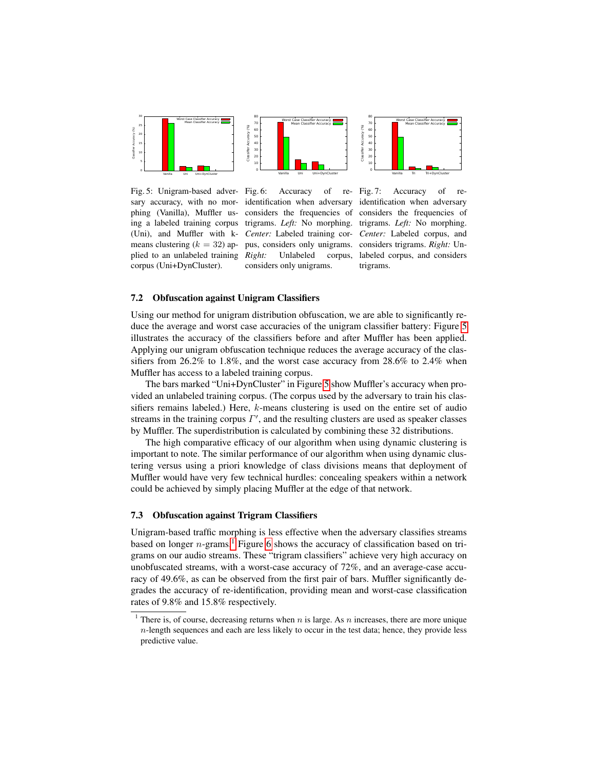<span id="page-11-0"></span>

Fig. 5: Unigram-based adversary accuracy, with no morphing (Vanilla), Muffler using a labeled training corpus (Uni), and Muffler with kmeans clustering  $(k = 32)$  applied to an unlabeled training corpus (Uni+DynCluster).

Fig. 6: Accuracy of re- Fig. 7: identification when adversary identification when adversary considers the frequencies of considers the frequencies of trigrams. *Left:* No morphing. trigrams. *Left:* No morphing. *Center:* Labeled training cor-*Center:* Labeled corpus, and pus, considers only unigrams. considers trigrams. *Right:* Un-*Right:* Unlabeled corpus, labeled corpus, and considers considers only unigrams.



Accuracy of retrigrams.

#### 7.2 Obfuscation against Unigram Classifiers

Using our method for unigram distribution obfuscation, we are able to significantly reduce the average and worst case accuracies of the unigram classifier battery: Figure [5](#page-11-0) illustrates the accuracy of the classifiers before and after Muffler has been applied. Applying our unigram obfuscation technique reduces the average accuracy of the classifiers from 26.2% to 1.8%, and the worst case accuracy from 28.6% to 2.4% when Muffler has access to a labeled training corpus.

The bars marked "Uni+DynCluster" in Figure [5](#page-11-0) show Muffler's accuracy when provided an unlabeled training corpus. (The corpus used by the adversary to train his classifiers remains labeled.) Here,  $k$ -means clustering is used on the entire set of audio streams in the training corpus  $\Gamma'$ , and the resulting clusters are used as speaker classes by Muffler. The superdistribution is calculated by combining these 32 distributions.

The high comparative efficacy of our algorithm when using dynamic clustering is important to note. The similar performance of our algorithm when using dynamic clustering versus using a priori knowledge of class divisions means that deployment of Muffler would have very few technical hurdles: concealing speakers within a network could be achieved by simply placing Muffler at the edge of that network.

#### <span id="page-11-2"></span>7.3 Obfuscation against Trigram Classifiers

Unigram-based traffic morphing is less effective when the adversary classifies streams based on longer  $n$ -grams.<sup>[1](#page-11-1)</sup> Figure [6](#page-11-0) shows the accuracy of classification based on trigrams on our audio streams. These "trigram classifiers" achieve very high accuracy on unobfuscated streams, with a worst-case accuracy of 72%, and an average-case accuracy of 49.6%, as can be observed from the first pair of bars. Muffler significantly degrades the accuracy of re-identification, providing mean and worst-case classification rates of 9.8% and 15.8% respectively.

<span id="page-11-1"></span><sup>&</sup>lt;sup>1</sup> There is, of course, decreasing returns when  $n$  is large. As  $n$  increases, there are more unique  $n$ -length sequences and each are less likely to occur in the test data; hence, they provide less predictive value.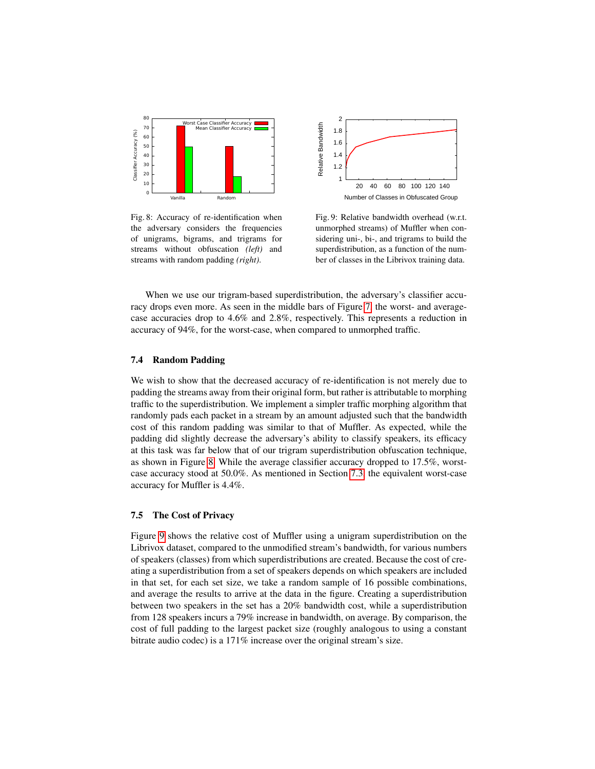<span id="page-12-0"></span>



Fig. 8: Accuracy of re-identification when the adversary considers the frequencies of unigrams, bigrams, and trigrams for streams without obfuscation *(left)* and streams with random padding *(right)*.

Fig. 9: Relative bandwidth overhead (w.r.t. unmorphed streams) of Muffler when considering uni-, bi-, and trigrams to build the superdistribution, as a function of the number of classes in the Librivox training data.

When we use our trigram-based superdistribution, the adversary's classifier accuracy drops even more. As seen in the middle bars of Figure [7,](#page-11-0) the worst- and averagecase accuracies drop to 4.6% and 2.8%, respectively. This represents a reduction in accuracy of 94%, for the worst-case, when compared to unmorphed traffic.

#### 7.4 Random Padding

We wish to show that the decreased accuracy of re-identification is not merely due to padding the streams away from their original form, but rather is attributable to morphing traffic to the superdistribution. We implement a simpler traffic morphing algorithm that randomly pads each packet in a stream by an amount adjusted such that the bandwidth cost of this random padding was similar to that of Muffler. As expected, while the padding did slightly decrease the adversary's ability to classify speakers, its efficacy at this task was far below that of our trigram superdistribution obfuscation technique, as shown in Figure [8.](#page-12-0) While the average classifier accuracy dropped to 17.5%, worstcase accuracy stood at 50.0%. As mentioned in Section [7.3,](#page-11-2) the equivalent worst-case accuracy for Muffler is 4.4%.

#### 7.5 The Cost of Privacy

Figure [9](#page-12-0) shows the relative cost of Muffler using a unigram superdistribution on the Librivox dataset, compared to the unmodified stream's bandwidth, for various numbers of speakers (classes) from which superdistributions are created. Because the cost of creating a superdistribution from a set of speakers depends on which speakers are included in that set, for each set size, we take a random sample of 16 possible combinations, and average the results to arrive at the data in the figure. Creating a superdistribution between two speakers in the set has a 20% bandwidth cost, while a superdistribution from 128 speakers incurs a 79% increase in bandwidth, on average. By comparison, the cost of full padding to the largest packet size (roughly analogous to using a constant bitrate audio codec) is a 171% increase over the original stream's size.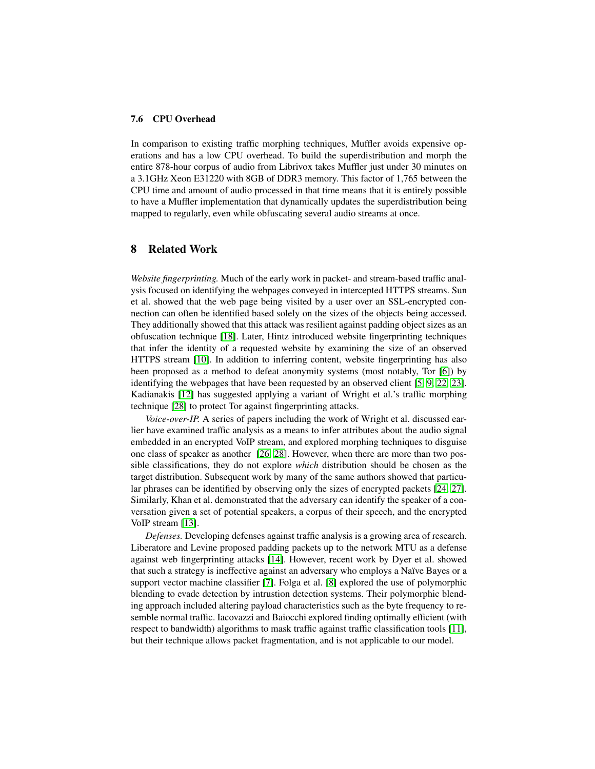#### 7.6 CPU Overhead

In comparison to existing traffic morphing techniques, Muffler avoids expensive operations and has a low CPU overhead. To build the superdistribution and morph the entire 878-hour corpus of audio from Librivox takes Muffler just under 30 minutes on a 3.1GHz Xeon E31220 with 8GB of DDR3 memory. This factor of 1,765 between the CPU time and amount of audio processed in that time means that it is entirely possible to have a Muffler implementation that dynamically updates the superdistribution being mapped to regularly, even while obfuscating several audio streams at once.

## <span id="page-13-0"></span>8 Related Work

*Website fingerprinting.* Much of the early work in packet- and stream-based traffic analysis focused on identifying the webpages conveyed in intercepted HTTPS streams. Sun et al. showed that the web page being visited by a user over an SSL-encrypted connection can often be identified based solely on the sizes of the objects being accessed. They additionally showed that this attack was resilient against padding object sizes as an obfuscation technique [\[18\]](#page-16-8). Later, Hintz introduced website fingerprinting techniques that infer the identity of a requested website by examining the size of an observed HTTPS stream [\[10\]](#page-15-6). In addition to inferring content, website fingerprinting has also been proposed as a method to defeat anonymity systems (most notably, Tor [\[6\]](#page-15-7)) by identifying the webpages that have been requested by an observed client [\[5,](#page-15-8) [9,](#page-15-9) [22,](#page-16-9) [23\]](#page-16-10). Kadianakis [\[12\]](#page-15-10) has suggested applying a variant of Wright et al.'s traffic morphing technique [\[28\]](#page-16-2) to protect Tor against fingerprinting attacks.

*Voice-over-IP.* A series of papers including the work of Wright et al. discussed earlier have examined traffic analysis as a means to infer attributes about the audio signal embedded in an encrypted VoIP stream, and explored morphing techniques to disguise one class of speaker as another [\[26,](#page-16-3) [28\]](#page-16-2). However, when there are more than two possible classifications, they do not explore *which* distribution should be chosen as the target distribution. Subsequent work by many of the same authors showed that particular phrases can be identified by observing only the sizes of encrypted packets [\[24,](#page-16-4) [27\]](#page-16-5). Similarly, Khan et al. demonstrated that the adversary can identify the speaker of a conversation given a set of potential speakers, a corpus of their speech, and the encrypted VoIP stream [\[13\]](#page-15-2).

*Defenses.* Developing defenses against traffic analysis is a growing area of research. Liberatore and Levine proposed padding packets up to the network MTU as a defense against web fingerprinting attacks [\[14\]](#page-15-11). However, recent work by Dyer et al. showed that such a strategy is ineffective against an adversary who employs a Naïve Bayes or a support vector machine classifier [\[7\]](#page-15-12). Folga et al. [\[8\]](#page-15-13) explored the use of polymorphic blending to evade detection by intrustion detection systems. Their polymorphic blending approach included altering payload characteristics such as the byte frequency to resemble normal traffic. Iacovazzi and Baiocchi explored finding optimally efficient (with respect to bandwidth) algorithms to mask traffic against traffic classification tools [\[11\]](#page-15-14), but their technique allows packet fragmentation, and is not applicable to our model.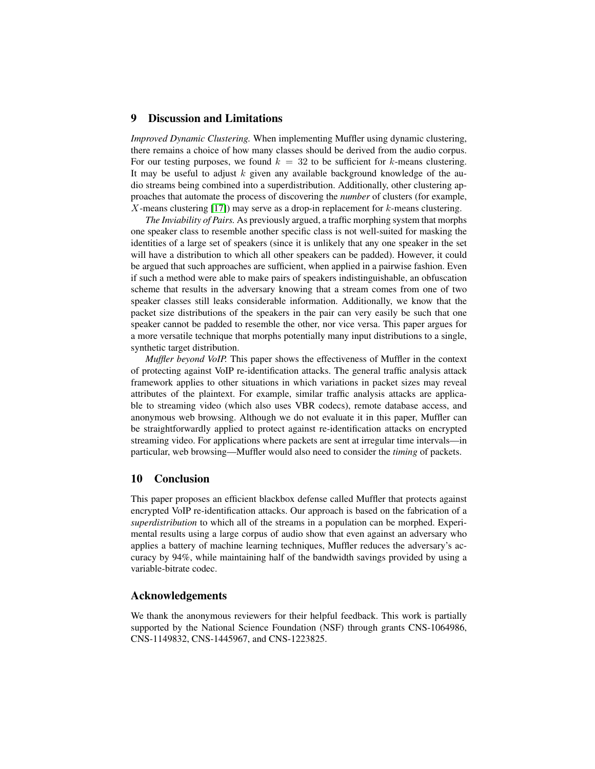## <span id="page-14-0"></span>9 Discussion and Limitations

*Improved Dynamic Clustering.* When implementing Muffler using dynamic clustering, there remains a choice of how many classes should be derived from the audio corpus. For our testing purposes, we found  $k = 32$  to be sufficient for k-means clustering. It may be useful to adjust  $k$  given any available background knowledge of the audio streams being combined into a superdistribution. Additionally, other clustering approaches that automate the process of discovering the *number* of clusters (for example,  $X$ -means clustering [\[17\]](#page-15-15)) may serve as a drop-in replacement for  $k$ -means clustering.

*The Inviability of Pairs.* As previously argued, a traffic morphing system that morphs one speaker class to resemble another specific class is not well-suited for masking the identities of a large set of speakers (since it is unlikely that any one speaker in the set will have a distribution to which all other speakers can be padded). However, it could be argued that such approaches are sufficient, when applied in a pairwise fashion. Even if such a method were able to make pairs of speakers indistinguishable, an obfuscation scheme that results in the adversary knowing that a stream comes from one of two speaker classes still leaks considerable information. Additionally, we know that the packet size distributions of the speakers in the pair can very easily be such that one speaker cannot be padded to resemble the other, nor vice versa. This paper argues for a more versatile technique that morphs potentially many input distributions to a single, synthetic target distribution.

*Muffler beyond VoIP.* This paper shows the effectiveness of Muffler in the context of protecting against VoIP re-identification attacks. The general traffic analysis attack framework applies to other situations in which variations in packet sizes may reveal attributes of the plaintext. For example, similar traffic analysis attacks are applicable to streaming video (which also uses VBR codecs), remote database access, and anonymous web browsing. Although we do not evaluate it in this paper, Muffler can be straightforwardly applied to protect against re-identification attacks on encrypted streaming video. For applications where packets are sent at irregular time intervals—in particular, web browsing—Muffler would also need to consider the *timing* of packets.

## 10 Conclusion

This paper proposes an efficient blackbox defense called Muffler that protects against encrypted VoIP re-identification attacks. Our approach is based on the fabrication of a *superdistribution* to which all of the streams in a population can be morphed. Experimental results using a large corpus of audio show that even against an adversary who applies a battery of machine learning techniques, Muffler reduces the adversary's accuracy by 94%, while maintaining half of the bandwidth savings provided by using a variable-bitrate codec.

## Acknowledgements

We thank the anonymous reviewers for their helpful feedback. This work is partially supported by the National Science Foundation (NSF) through grants CNS-1064986, CNS-1149832, CNS-1445967, and CNS-1223825.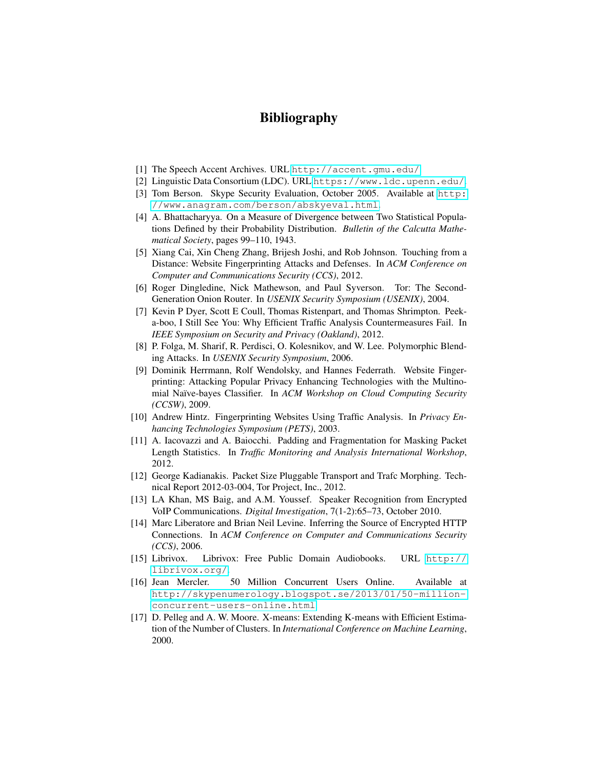## Bibliography

- <span id="page-15-4"></span>[1] The Speech Accent Archives. URL <http://accent.gmu.edu/>.
- <span id="page-15-5"></span>[2] Linguistic Data Consortium (LDC). URL <https://www.ldc.upenn.edu/>.
- <span id="page-15-1"></span>[3] Tom Berson. Skype Security Evaluation, October 2005. Available at [http:](http://www.anagram.com/berson/abskyeval.html) [//www.anagram.com/berson/abskyeval.html](http://www.anagram.com/berson/abskyeval.html).
- <span id="page-15-16"></span>[4] A. Bhattacharyya. On a Measure of Divergence between Two Statistical Populations Defined by their Probability Distribution. *Bulletin of the Calcutta Mathematical Society*, pages 99–110, 1943.
- <span id="page-15-8"></span>[5] Xiang Cai, Xin Cheng Zhang, Brijesh Joshi, and Rob Johnson. Touching from a Distance: Website Fingerprinting Attacks and Defenses. In *ACM Conference on Computer and Communications Security (CCS)*, 2012.
- <span id="page-15-7"></span>[6] Roger Dingledine, Nick Mathewson, and Paul Syverson. Tor: The Second-Generation Onion Router. In *USENIX Security Symposium (USENIX)*, 2004.
- <span id="page-15-12"></span>[7] Kevin P Dyer, Scott E Coull, Thomas Ristenpart, and Thomas Shrimpton. Peeka-boo, I Still See You: Why Efficient Traffic Analysis Countermeasures Fail. In *IEEE Symposium on Security and Privacy (Oakland)*, 2012.
- <span id="page-15-13"></span>[8] P. Folga, M. Sharif, R. Perdisci, O. Kolesnikov, and W. Lee. Polymorphic Blending Attacks. In *USENIX Security Symposium*, 2006.
- <span id="page-15-9"></span>[9] Dominik Herrmann, Rolf Wendolsky, and Hannes Federrath. Website Fingerprinting: Attacking Popular Privacy Enhancing Technologies with the Multinomial Na¨ıve-bayes Classifier. In *ACM Workshop on Cloud Computing Security (CCSW)*, 2009.
- <span id="page-15-6"></span>[10] Andrew Hintz. Fingerprinting Websites Using Traffic Analysis. In *Privacy Enhancing Technologies Symposium (PETS)*, 2003.
- <span id="page-15-14"></span>[11] A. Iacovazzi and A. Baiocchi. Padding and Fragmentation for Masking Packet Length Statistics. In *Traffic Monitoring and Analysis International Workshop*, 2012.
- <span id="page-15-10"></span>[12] George Kadianakis. Packet Size Pluggable Transport and Trafc Morphing. Technical Report 2012-03-004, Tor Project, Inc., 2012.
- <span id="page-15-2"></span>[13] LA Khan, MS Baig, and A.M. Youssef. Speaker Recognition from Encrypted VoIP Communications. *Digital Investigation*, 7(1-2):65–73, October 2010.
- <span id="page-15-11"></span>[14] Marc Liberatore and Brian Neil Levine. Inferring the Source of Encrypted HTTP Connections. In *ACM Conference on Computer and Communications Security (CCS)*, 2006.
- <span id="page-15-3"></span>[15] Librivox. Librivox: Free Public Domain Audiobooks. URL [http://](http://librivox.org/) [librivox.org/](http://librivox.org/).
- <span id="page-15-0"></span>[16] Jean Mercler. 50 Million Concurrent Users Online. Available at [http://skypenumerology.blogspot.se/2013/01/50-million](http://skypenumerology.blogspot.se/2013/01/50-million-concurrent-users-online.html)[concurrent-users-online.html](http://skypenumerology.blogspot.se/2013/01/50-million-concurrent-users-online.html).
- <span id="page-15-15"></span>[17] D. Pelleg and A. W. Moore. X-means: Extending K-means with Efficient Estimation of the Number of Clusters. In *International Conference on Machine Learning*, 2000.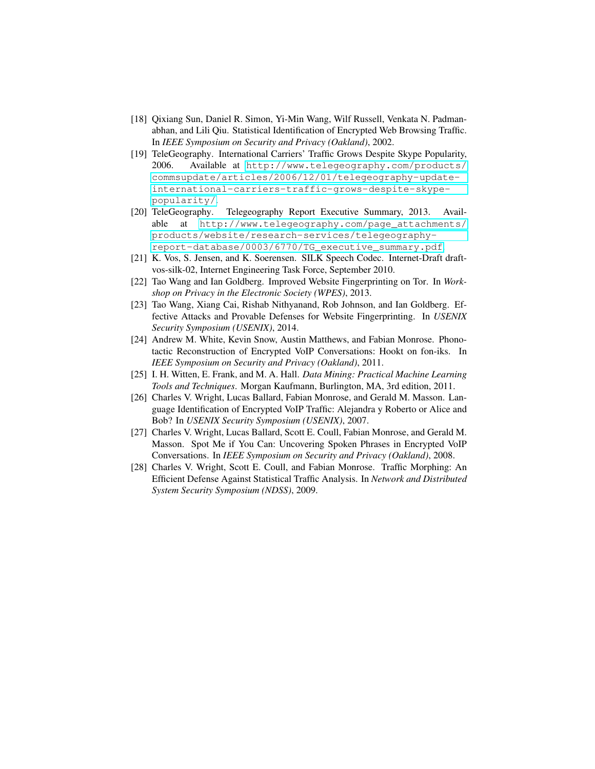- <span id="page-16-8"></span>[18] Qixiang Sun, Daniel R. Simon, Yi-Min Wang, Wilf Russell, Venkata N. Padmanabhan, and Lili Qiu. Statistical Identification of Encrypted Web Browsing Traffic. In *IEEE Symposium on Security and Privacy (Oakland)*, 2002.
- <span id="page-16-0"></span>[19] TeleGeography. International Carriers' Traffic Grows Despite Skype Popularity, 2006. Available at [http://www.telegeography.com/products/](http://www.telegeography.com/products/commsupdate/articles/2006/12/01/telegeography-update-international-carriers-traffic-grows-despite-skype-popularity/) [commsupdate/articles/2006/12/01/telegeography-update](http://www.telegeography.com/products/commsupdate/articles/2006/12/01/telegeography-update-international-carriers-traffic-grows-despite-skype-popularity/)[international-carriers-traffic-grows-despite-skype](http://www.telegeography.com/products/commsupdate/articles/2006/12/01/telegeography-update-international-carriers-traffic-grows-despite-skype-popularity/)[popularity/](http://www.telegeography.com/products/commsupdate/articles/2006/12/01/telegeography-update-international-carriers-traffic-grows-despite-skype-popularity/).
- <span id="page-16-1"></span>[20] TeleGeography. Telegeography Report Executive Summary, 2013. Available at [http://www.telegeography.com/page\\_attachments/](http://www.telegeography.com/page_attachments/products/website/research-services/telegeography-report-database/0003/6770/TG_executive_summary.pdf) [products/website/research-services/telegeography](http://www.telegeography.com/page_attachments/products/website/research-services/telegeography-report-database/0003/6770/TG_executive_summary.pdf)[report-database/0003/6770/TG\\_executive\\_summary.pdf](http://www.telegeography.com/page_attachments/products/website/research-services/telegeography-report-database/0003/6770/TG_executive_summary.pdf).
- <span id="page-16-6"></span>[21] K. Vos, S. Jensen, and K. Soerensen. SILK Speech Codec. Internet-Draft draftvos-silk-02, Internet Engineering Task Force, September 2010.
- <span id="page-16-9"></span>[22] Tao Wang and Ian Goldberg. Improved Website Fingerprinting on Tor. In *Workshop on Privacy in the Electronic Society (WPES)*, 2013.
- <span id="page-16-10"></span>[23] Tao Wang, Xiang Cai, Rishab Nithyanand, Rob Johnson, and Ian Goldberg. Effective Attacks and Provable Defenses for Website Fingerprinting. In *USENIX Security Symposium (USENIX)*, 2014.
- <span id="page-16-4"></span>[24] Andrew M. White, Kevin Snow, Austin Matthews, and Fabian Monrose. Phonotactic Reconstruction of Encrypted VoIP Conversations: Hookt on fon-iks. In *IEEE Symposium on Security and Privacy (Oakland)*, 2011.
- <span id="page-16-7"></span>[25] I. H. Witten, E. Frank, and M. A. Hall. *Data Mining: Practical Machine Learning Tools and Techniques*. Morgan Kaufmann, Burlington, MA, 3rd edition, 2011.
- <span id="page-16-3"></span>[26] Charles V. Wright, Lucas Ballard, Fabian Monrose, and Gerald M. Masson. Language Identification of Encrypted VoIP Traffic: Alejandra y Roberto or Alice and Bob? In *USENIX Security Symposium (USENIX)*, 2007.
- <span id="page-16-5"></span>[27] Charles V. Wright, Lucas Ballard, Scott E. Coull, Fabian Monrose, and Gerald M. Masson. Spot Me if You Can: Uncovering Spoken Phrases in Encrypted VoIP Conversations. In *IEEE Symposium on Security and Privacy (Oakland)*, 2008.
- <span id="page-16-2"></span>[28] Charles V. Wright, Scott E. Coull, and Fabian Monrose. Traffic Morphing: An Efficient Defense Against Statistical Traffic Analysis. In *Network and Distributed System Security Symposium (NDSS)*, 2009.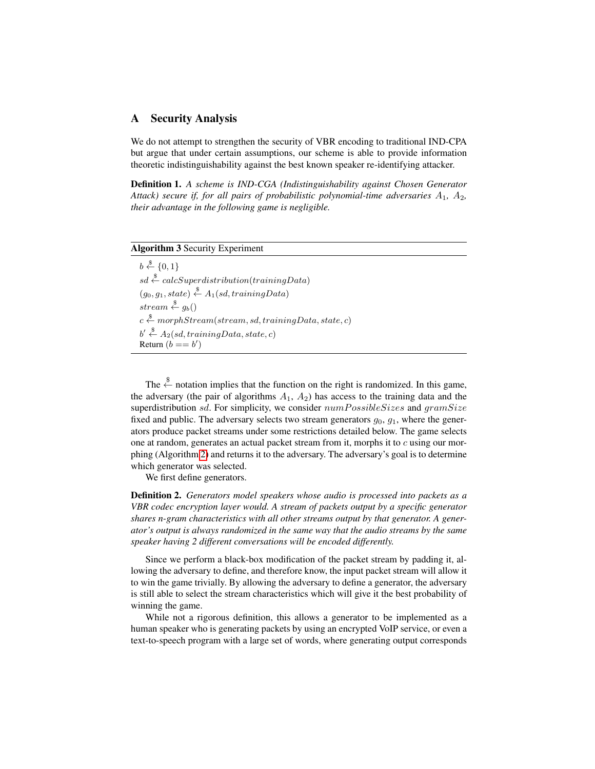### <span id="page-17-0"></span>A Security Analysis

We do not attempt to strengthen the security of VBR encoding to traditional IND-CPA but argue that under certain assumptions, our scheme is able to provide information theoretic indistinguishability against the best known speaker re-identifying attacker.

Definition 1. *A scheme is IND-CGA (Indistinguishability against Chosen Generator Attack) secure if, for all pairs of probabilistic polynomial-time adversaries* A1*,* A2*, their advantage in the following game is negligible.*

#### Algorithm 3 Security Experiment

 $b \stackrel{\$}{\leftarrow} \{0,1\}$  $sd \stackrel{\$}{\leftarrow} calcSuperdistribution (training Data)$  $(g_0, g_1, state) \overset{\$}{\leftarrow} A_1(sd, trainingData)$ stream  $\stackrel{\$}{\leftarrow} g_b()$  $c \stackrel{\$}{\leftarrow} morphStream(stream, sd, trainingData, state, c)$  $b' \stackrel{\$}{\leftarrow} A_2 (sd, trainingData, state, c)$ Return  $(b == b')$ 

The  $\stackrel{\$}{\leftarrow}$  notation implies that the function on the right is randomized. In this game, the adversary (the pair of algorithms  $A_1$ ,  $A_2$ ) has access to the training data and the superdistribution sd. For simplicity, we consider  $numPossibleSizes$  and  $gramsize$ fixed and public. The adversary selects two stream generators  $q_0$ ,  $q_1$ , where the generators produce packet streams under some restrictions detailed below. The game selects one at random, generates an actual packet stream from it, morphs it to  $c$  using our morphing (Algorithm [2\)](#page-8-1) and returns it to the adversary. The adversary's goal is to determine which generator was selected.

We first define generators.

Definition 2. *Generators model speakers whose audio is processed into packets as a VBR codec encryption layer would. A stream of packets output by a specific generator* shares n-gram characteristics with all other streams output by that generator. A gener*ator's output is always randomized in the same way that the audio streams by the same speaker having 2 different conversations will be encoded differently.*

Since we perform a black-box modification of the packet stream by padding it, allowing the adversary to define, and therefore know, the input packet stream will allow it to win the game trivially. By allowing the adversary to define a generator, the adversary is still able to select the stream characteristics which will give it the best probability of winning the game.

While not a rigorous definition, this allows a generator to be implemented as a human speaker who is generating packets by using an encrypted VoIP service, or even a text-to-speech program with a large set of words, where generating output corresponds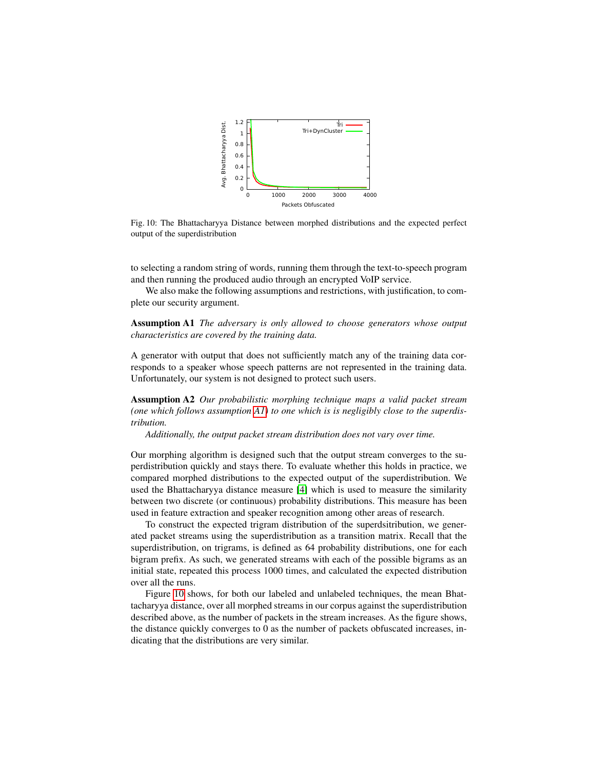<span id="page-18-1"></span>

Fig. 10: The Bhattacharyya Distance between morphed distributions and the expected perfect output of the superdistribution

to selecting a random string of words, running them through the text-to-speech program and then running the produced audio through an encrypted VoIP service.

We also make the following assumptions and restrictions, with justification, to complete our security argument.

<span id="page-18-0"></span>Assumption A1 *The adversary is only allowed to choose generators whose output characteristics are covered by the training data.*

A generator with output that does not sufficiently match any of the training data corresponds to a speaker whose speech patterns are not represented in the training data. Unfortunately, our system is not designed to protect such users.

<span id="page-18-2"></span>Assumption A2 *Our probabilistic morphing technique maps a valid packet stream (one which follows assumption [A1\)](#page-18-0) to one which is is negligibly close to the superdistribution.*

*Additionally, the output packet stream distribution does not vary over time.*

Our morphing algorithm is designed such that the output stream converges to the superdistribution quickly and stays there. To evaluate whether this holds in practice, we compared morphed distributions to the expected output of the superdistribution. We used the Bhattacharyya distance measure [\[4\]](#page-15-16) which is used to measure the similarity between two discrete (or continuous) probability distributions. This measure has been used in feature extraction and speaker recognition among other areas of research.

To construct the expected trigram distribution of the superdsitribution, we generated packet streams using the superdistribution as a transition matrix. Recall that the superdistribution, on trigrams, is defined as 64 probability distributions, one for each bigram prefix. As such, we generated streams with each of the possible bigrams as an initial state, repeated this process 1000 times, and calculated the expected distribution over all the runs.

<span id="page-18-3"></span>Figure [10](#page-18-1) shows, for both our labeled and unlabeled techniques, the mean Bhattacharyya distance, over all morphed streams in our corpus against the superdistribution described above, as the number of packets in the stream increases. As the figure shows, the distance quickly converges to 0 as the number of packets obfuscated increases, indicating that the distributions are very similar.